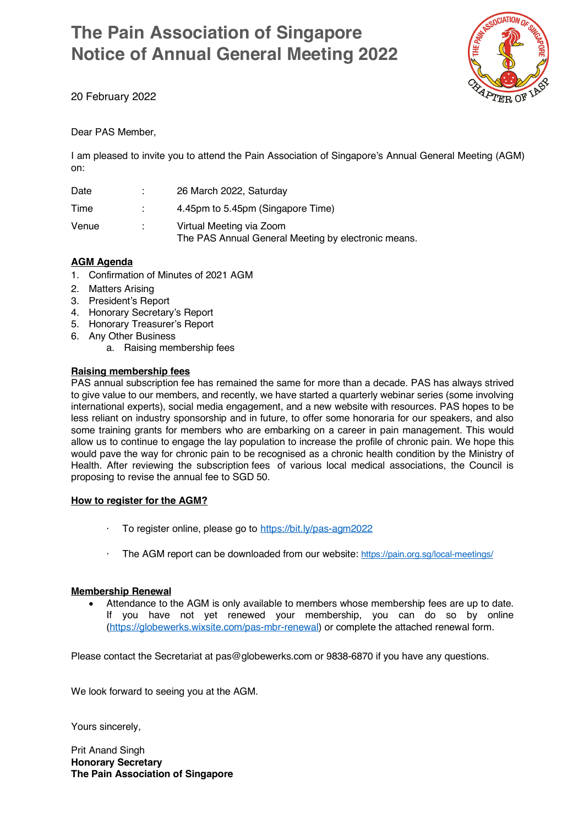# **The Pain Association of Singapore Notice of Annual General Meeting 2022**



20 February 2022

#### Dear PAS Member,

I am pleased to invite you to attend the Pain Association of Singapore's Annual General Meeting (AGM) on:

| Date  | 26 March 2022, Saturday                                                         |
|-------|---------------------------------------------------------------------------------|
| Time  | 4.45pm to 5.45pm (Singapore Time)                                               |
| Venue | Virtual Meeting via Zoom<br>The PAS Annual General Meeting by electronic means. |

#### **AGM Agenda**

- 1. Confirmation of Minutes of 2021 AGM
- 2. Matters Arising
- 3. President's Report
- 4. Honorary Secretary's Report
- 5. Honorary Treasurer's Report
- 6. Any Other Business
	- a. Raising membership fees

#### **Raising membership fees**

PAS annual subscription fee has remained the same for more than a decade. PAS has always strived to give value to our members, and recently, we have started a quarterly webinar series (some involving international experts), social media engagement, and a new website with resources. PAS hopes to be less reliant on industry sponsorship and in future, to offer some honoraria for our speakers, and also some training grants for members who are embarking on a career in pain management. This would allow us to continue to engage the lay population to increase the profile of chronic pain. We hope this would pave the way for chronic pain to be recognised as a chronic health condition by the Ministry of Health. After reviewing the subscription fees of various local medical associations, the Council is proposing to revise the annual fee to SGD 50.

#### **How to register for the AGM?**

- To register online, please go to https://bit.ly/pas-agm2022
- · The AGM report can be downloaded from our website: https://pain.org.sg/local-meetings/

#### **Membership Renewal**

• Attendance to the AGM is only available to members whose membership fees are up to date. If you have not yet renewed your membership, you can do so by online (https://globewerks.wixsite.com/pas-mbr-renewal) or complete the attached renewal form.

Please contact the Secretariat at pas@globewerks.com or 9838-6870 if you have any questions.

We look forward to seeing you at the AGM.

Yours sincerely,

Prit Anand Singh **Honorary Secretary The Pain Association of Singapore**